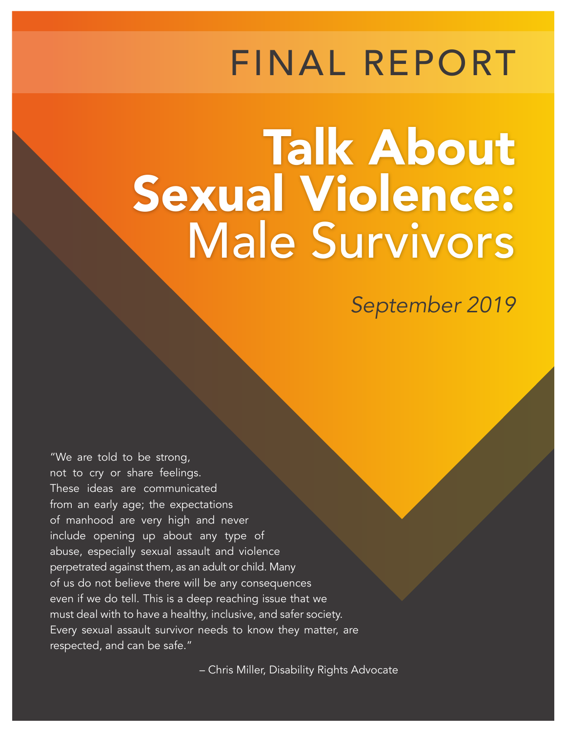## FINAL REPORT

# Talk About Sexual Violence: Male Survivors

*September 2019*

"We are told to be strong, not to cry or share feelings. These ideas are communicated from an early age; the expectations of manhood are very high and never include opening up about any type of abuse, especially sexual assault and violence perpetrated against them, as an adult or child. Many of us do not believe there will be any consequences even if we do tell. This is a deep reaching issue that we must deal with to have a healthy, inclusive, and safer society. Every sexual assault survivor needs to know they matter, are respected, and can be safe."

– Chris Miller, Disability Rights Advocate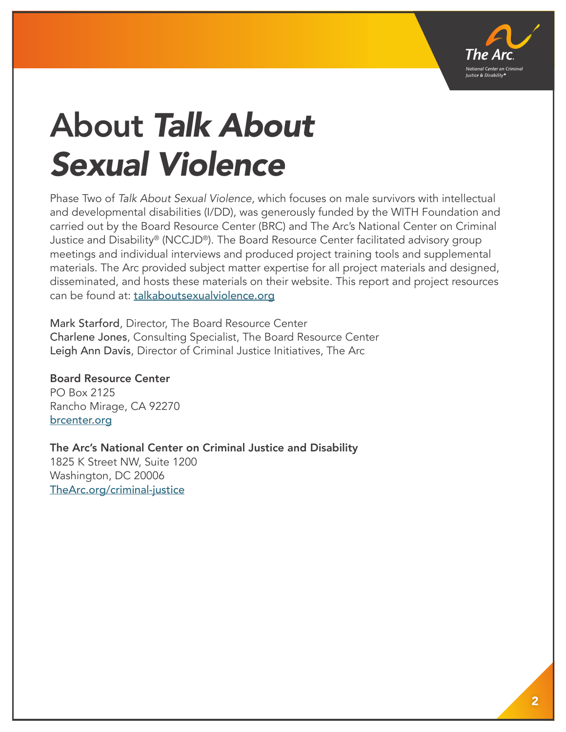

## About *Talk About Sexual Violence*

Phase Two of *Talk About Sexual Violence*, which focuses on male survivors with intellectual and developmental disabilities (I/DD), was generously funded by the WITH Foundation and carried out by the Board Resource Center (BRC) and The Arc's National Center on Criminal Justice and Disability® (NCCJD®). The Board Resource Center facilitated advisory group meetings and individual interviews and produced project training tools and supplemental materials. The Arc provided subject matter expertise for all project materials and designed, disseminated, and hosts these materials on their website. This report and project resources can be found at: talkaboutsexualviolence.org

Mark Starford, Director, The Board Resource Center Charlene Jones, Consulting Specialist, The Board Resource Center Leigh Ann Davis, Director of Criminal Justice Initiatives, The Arc

Board Resource Center PO Box 2125 Rancho Mirage, CA 92270 brcenter.org

The Arc's National Center on Criminal Justice and Disability 1825 K Street NW, Suite 1200 Washington, DC 20006 TheArc.org/criminal-justice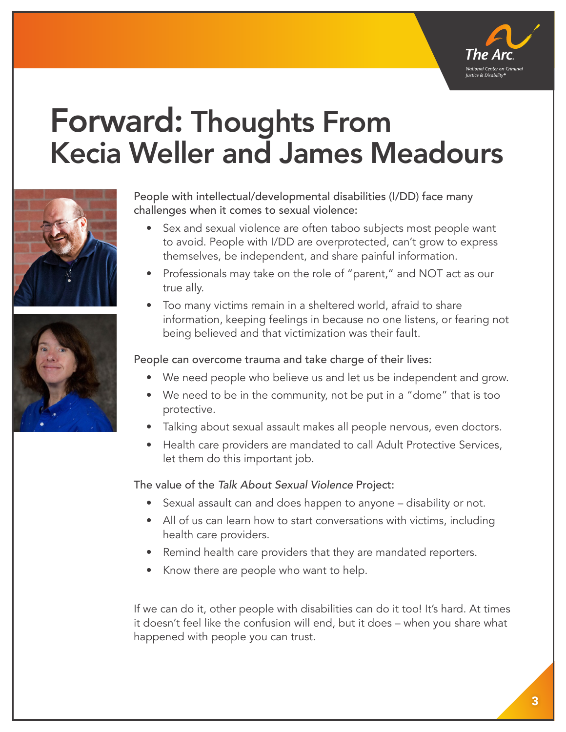

## Forward: Thoughts From Kecia Weller and James Meadours





People with intellectual/developmental disabilities (I/DD) face many challenges when it comes to sexual violence:

- Sex and sexual violence are often taboo subjects most people want to avoid. People with I/DD are overprotected, can't grow to express themselves, be independent, and share painful information.
- Professionals may take on the role of "parent," and NOT act as our true ally.
- Too many victims remain in a sheltered world, afraid to share information, keeping feelings in because no one listens, or fearing not being believed and that victimization was their fault.

People can overcome trauma and take charge of their lives:

- We need people who believe us and let us be independent and grow.
- We need to be in the community, not be put in a "dome" that is too protective.
- Talking about sexual assault makes all people nervous, even doctors.
- Health care providers are mandated to call Adult Protective Services, let them do this important job.

The value of the *Talk About Sexual Violence* Project:

- Sexual assault can and does happen to anyone disability or not.
- All of us can learn how to start conversations with victims, including health care providers.
- Remind health care providers that they are mandated reporters.
- Know there are people who want to help.

If we can do it, other people with disabilities can do it too! It's hard. At times it doesn't feel like the confusion will end, but it does – when you share what happened with people you can trust.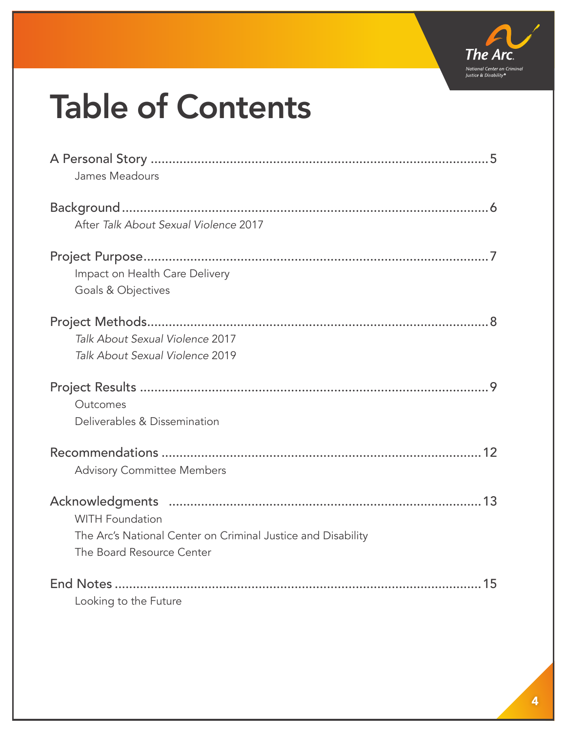

## Table of Contents

| James Meadours                                                                                                      |
|---------------------------------------------------------------------------------------------------------------------|
| After Talk About Sexual Violence 2017                                                                               |
| Impact on Health Care Delivery<br>Goals & Objectives                                                                |
| Talk About Sexual Violence 2017<br>Talk About Sexual Violence 2019                                                  |
| Outcomes<br>Deliverables & Dissemination                                                                            |
| <b>Advisory Committee Members</b>                                                                                   |
| <b>WITH Foundation</b><br>The Arc's National Center on Criminal Justice and Disability<br>The Board Resource Center |
| Looking to the Future                                                                                               |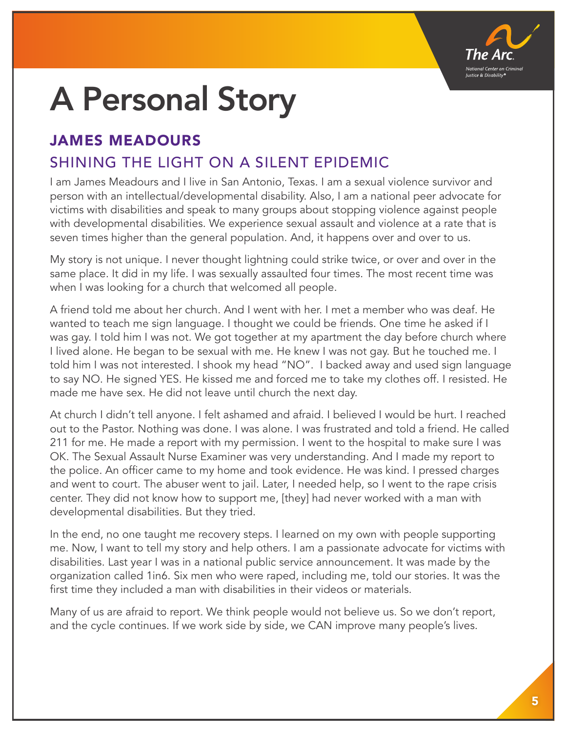

## A Personal Story

### JAMES MEADOURS

### SHINING THE LIGHT ON A SILENT EPIDEMIC

I am James Meadours and I live in San Antonio, Texas. I am a sexual violence survivor and person with an intellectual/developmental disability. Also, I am a national peer advocate for victims with disabilities and speak to many groups about stopping violence against people with developmental disabilities. We experience sexual assault and violence at a rate that is seven times higher than the general population. And, it happens over and over to us.

My story is not unique. I never thought lightning could strike twice, or over and over in the same place. It did in my life. I was sexually assaulted four times. The most recent time was when I was looking for a church that welcomed all people.

A friend told me about her church. And I went with her. I met a member who was deaf. He wanted to teach me sign language. I thought we could be friends. One time he asked if I was gay. I told him I was not. We got together at my apartment the day before church where I lived alone. He began to be sexual with me. He knew I was not gay. But he touched me. I told him I was not interested. I shook my head "NO". I backed away and used sign language to say NO. He signed YES. He kissed me and forced me to take my clothes off. I resisted. He made me have sex. He did not leave until church the next day.

At church I didn't tell anyone. I felt ashamed and afraid. I believed I would be hurt. I reached out to the Pastor. Nothing was done. I was alone. I was frustrated and told a friend. He called 211 for me. He made a report with my permission. I went to the hospital to make sure I was OK. The Sexual Assault Nurse Examiner was very understanding. And I made my report to the police. An officer came to my home and took evidence. He was kind. I pressed charges and went to court. The abuser went to jail. Later, I needed help, so I went to the rape crisis center. They did not know how to support me, [they] had never worked with a man with developmental disabilities. But they tried.

In the end, no one taught me recovery steps. I learned on my own with people supporting me. Now, I want to tell my story and help others. I am a passionate advocate for victims with disabilities. Last year I was in a national public service announcement. It was made by the organization called 1in6. Six men who were raped, including me, told our stories. It was the first time they included a man with disabilities in their videos or materials.

Many of us are afraid to report. We think people would not believe us. So we don't report, and the cycle continues. If we work side by side, we CAN improve many people's lives.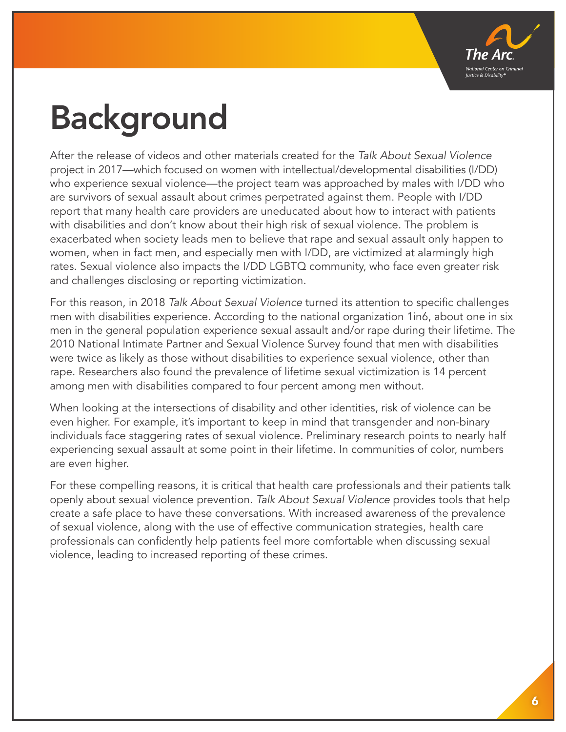

## Background

After the release of videos and other materials created for the *Talk About Sexual Violence* project in 2017—which focused on women with intellectual/developmental disabilities (I/DD) who experience sexual violence—the project team was approached by males with I/DD who are survivors of sexual assault about crimes perpetrated against them. People with I/DD report that many health care providers are uneducated about how to interact with patients with disabilities and don't know about their high risk of sexual violence. The problem is exacerbated when society leads men to believe that rape and sexual assault only happen to women, when in fact men, and especially men with I/DD, are victimized at alarmingly high rates. Sexual violence also impacts the I/DD LGBTQ community, who face even greater risk and challenges disclosing or reporting victimization.

For this reason, in 2018 *Talk About Sexual Violence* turned its attention to specific challenges men with disabilities experience. According to the national organization 1in6, about one in six men in the general population experience sexual assault and/or rape during their lifetime. The 2010 National Intimate Partner and Sexual Violence Survey found that men with disabilities were twice as likely as those without disabilities to experience sexual violence, other than rape. Researchers also found the prevalence of lifetime sexual victimization is 14 percent among men with disabilities compared to four percent among men without.

When looking at the intersections of disability and other identities, risk of violence can be even higher. For example, it's important to keep in mind that transgender and non-binary individuals face staggering rates of sexual violence. Preliminary research points to nearly half experiencing sexual assault at some point in their lifetime. In communities of color, numbers are even higher.

For these compelling reasons, it is critical that health care professionals and their patients talk openly about sexual violence prevention. *Talk About Sexual Violence* provides tools that help create a safe place to have these conversations. With increased awareness of the prevalence of sexual violence, along with the use of effective communication strategies, health care professionals can confidently help patients feel more comfortable when discussing sexual violence, leading to increased reporting of these crimes.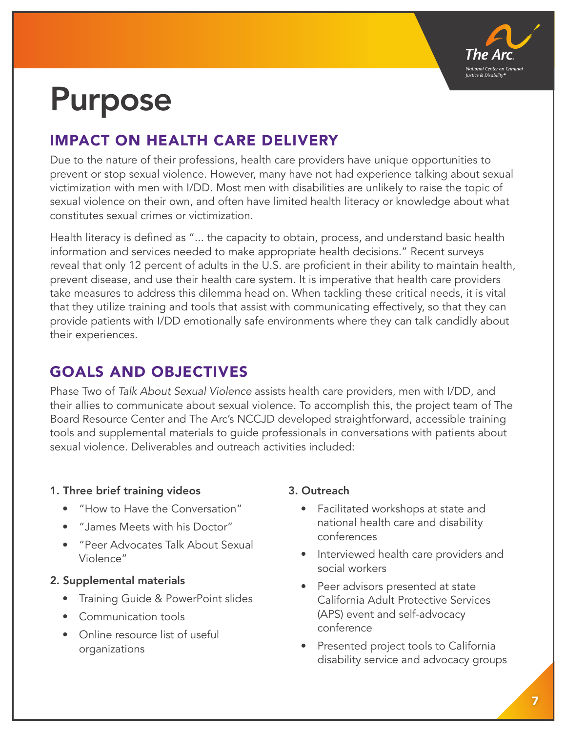

## Purpose

### IMPACT ON HEALTH CARE DELIVERY

Due to the nature of their professions, health care providers have unique opportunities to prevent or stop sexual violence. However, many have not had experience talking about sexual victimization with men with I/DD. Most men with disabilities are unlikely to raise the topic of sexual violence on their own, and often have limited health literacy or knowledge about what constitutes sexual crimes or victimization.

Health literacy is defined as "... the capacity to obtain, process, and understand basic health information and services needed to make appropriate health decisions." Recent surveys reveal that only 12 percent of adults in the U.S. are proficient in their ability to maintain health, prevent disease, and use their health care system. It is imperative that health care providers take measures to address this dilemma head on. When tackling these critical needs, it is vital that they utilize training and tools that assist with communicating effectively, so that they can provide patients with I/DD emotionally safe environments where they can talk candidly about their experiences.

### GOALS AND OBJECTIVES

Phase Two of *Talk About Sexual Violence* assists health care providers, men with I/DD, and their allies to communicate about sexual violence. To accomplish this, the project team of The Board Resource Center and The Arc's NCCJD developed straightforward, accessible training tools and supplemental materials to guide professionals in conversations with patients about sexual violence. Deliverables and outreach activities included:

#### 1. Three brief training videos

- "How to Have the Conversation"
- "James Meets with his Doctor"
- "Peer Advocates Talk About Sexual Violence"

#### 2. Supplemental materials

- Training Guide & PowerPoint slides
- Communication tools
- Online resource list of useful organizations

#### 3. Outreach

- Facilitated workshops at state and national health care and disability conferences
- Interviewed health care providers and social workers
- Peer advisors presented at state California Adult Protective Services (APS) event and self-advocacy conference
- Presented project tools to California disability service and advocacy groups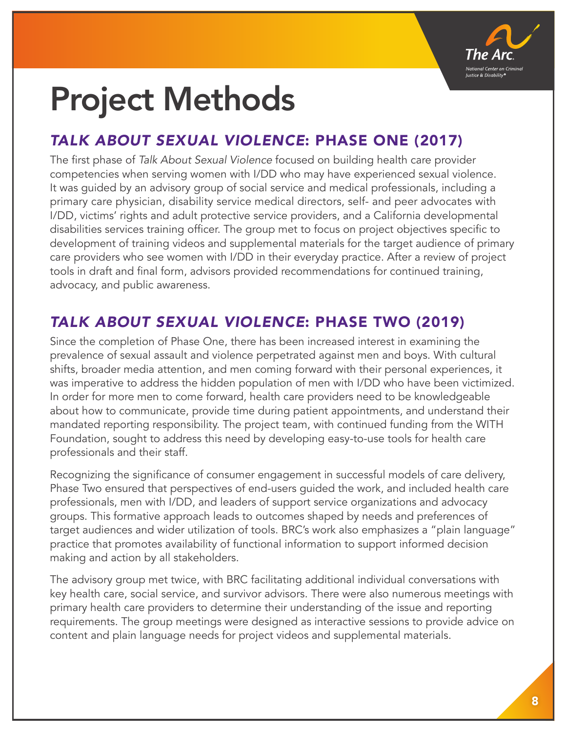

## Project Methods

### *TALK ABOUT SEXUAL VIOLENCE*: PHASE ONE (2017)

The first phase of *Talk About Sexual Violence* focused on building health care provider competencies when serving women with I/DD who may have experienced sexual violence. It was guided by an advisory group of social service and medical professionals, including a primary care physician, disability service medical directors, self- and peer advocates with I/DD, victims' rights and adult protective service providers, and a California developmental disabilities services training officer. The group met to focus on project objectives specific to development of training videos and supplemental materials for the target audience of primary care providers who see women with I/DD in their everyday practice. After a review of project tools in draft and final form, advisors provided recommendations for continued training, advocacy, and public awareness.

### *TALK ABOUT SEXUAL VIOLENCE*: PHASE TWO (2019)

Since the completion of Phase One, there has been increased interest in examining the prevalence of sexual assault and violence perpetrated against men and boys. With cultural shifts, broader media attention, and men coming forward with their personal experiences, it was imperative to address the hidden population of men with I/DD who have been victimized. In order for more men to come forward, health care providers need to be knowledgeable about how to communicate, provide time during patient appointments, and understand their mandated reporting responsibility. The project team, with continued funding from the WITH Foundation, sought to address this need by developing easy-to-use tools for health care professionals and their staff.

Recognizing the significance of consumer engagement in successful models of care delivery, Phase Two ensured that perspectives of end-users guided the work, and included health care professionals, men with I/DD, and leaders of support service organizations and advocacy groups. This formative approach leads to outcomes shaped by needs and preferences of target audiences and wider utilization of tools. BRC's work also emphasizes a "plain language" practice that promotes availability of functional information to support informed decision making and action by all stakeholders.

The advisory group met twice, with BRC facilitating additional individual conversations with key health care, social service, and survivor advisors. There were also numerous meetings with primary health care providers to determine their understanding of the issue and reporting requirements. The group meetings were designed as interactive sessions to provide advice on content and plain language needs for project videos and supplemental materials.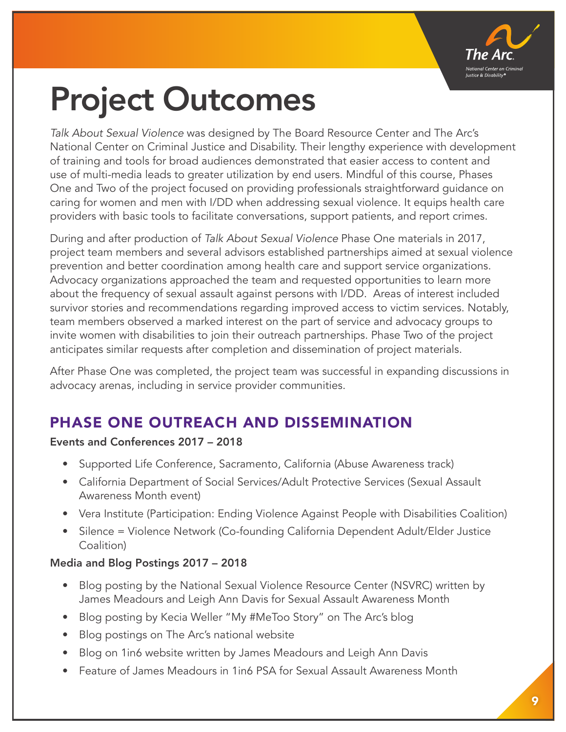

## Project Outcomes

*Talk About Sexual Violence* was designed by The Board Resource Center and The Arc's National Center on Criminal Justice and Disability. Their lengthy experience with development of training and tools for broad audiences demonstrated that easier access to content and use of multi-media leads to greater utilization by end users. Mindful of this course, Phases One and Two of the project focused on providing professionals straightforward guidance on caring for women and men with I/DD when addressing sexual violence. It equips health care providers with basic tools to facilitate conversations, support patients, and report crimes.

During and after production of *Talk About Sexual Violence* Phase One materials in 2017, project team members and several advisors established partnerships aimed at sexual violence prevention and better coordination among health care and support service organizations. Advocacy organizations approached the team and requested opportunities to learn more about the frequency of sexual assault against persons with I/DD. Areas of interest included survivor stories and recommendations regarding improved access to victim services. Notably, team members observed a marked interest on the part of service and advocacy groups to invite women with disabilities to join their outreach partnerships. Phase Two of the project anticipates similar requests after completion and dissemination of project materials.

After Phase One was completed, the project team was successful in expanding discussions in advocacy arenas, including in service provider communities.

### PHASE ONE OUTREACH AND DISSEMINATION

#### Events and Conferences 2017 – 2018

- Supported Life Conference, Sacramento, California (Abuse Awareness track)
- California Department of Social Services/Adult Protective Services (Sexual Assault Awareness Month event)
- Vera Institute (Participation: Ending Violence Against People with Disabilities Coalition)
- Silence = Violence Network (Co-founding California Dependent Adult/Elder Justice Coalition)

#### Media and Blog Postings 2017 – 2018

- Blog posting by the National Sexual Violence Resource Center (NSVRC) written by James Meadours and Leigh Ann Davis for Sexual Assault Awareness Month
- Blog posting by Kecia Weller "My #MeToo Story" on The Arc's blog
- Blog postings on The Arc's national website
- Blog on 1in6 website written by James Meadours and Leigh Ann Davis
- Feature of James Meadours in 1in6 PSA for Sexual Assault Awareness Month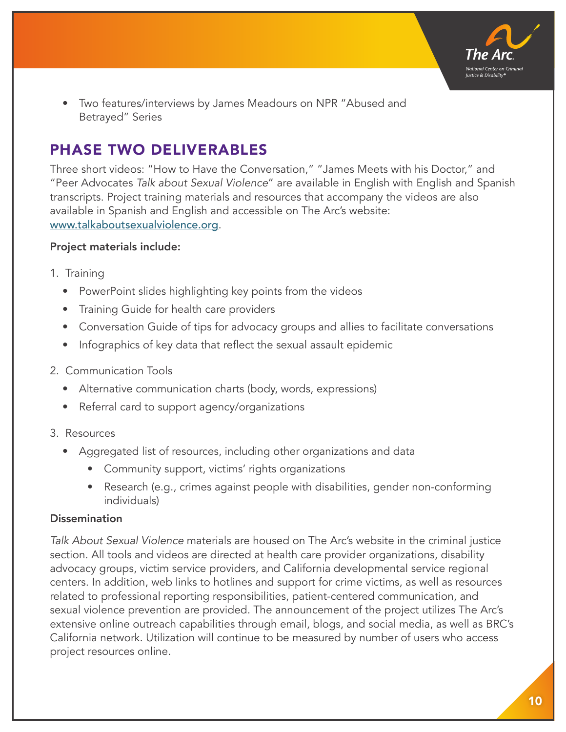

• Two features/interviews by James Meadours on NPR "Abused and Betrayed" Series

### PHASE TWO DELIVERABLES

Three short videos: "How to Have the Conversation," "James Meets with his Doctor," and "Peer Advocates *Talk about Sexual Violence*" are available in English with English and Spanish transcripts. Project training materials and resources that accompany the videos are also available in Spanish and English and accessible on The Arc's website: www.talkaboutsexualviolence.org.

#### Project materials include:

- 1. Training
	- PowerPoint slides highlighting key points from the videos
	- Training Guide for health care providers
	- Conversation Guide of tips for advocacy groups and allies to facilitate conversations
	- Infographics of key data that reflect the sexual assault epidemic
- 2. Communication Tools
	- Alternative communication charts (body, words, expressions)
	- Referral card to support agency/organizations
- 3. Resources
	- Aggregated list of resources, including other organizations and data
		- Community support, victims' rights organizations
		- Research (e.g., crimes against people with disabilities, gender non-conforming individuals)

#### Dissemination

*Talk About Sexual Violence* materials are housed on The Arc's website in the criminal justice section. All tools and videos are directed at health care provider organizations, disability advocacy groups, victim service providers, and California developmental service regional centers. In addition, web links to hotlines and support for crime victims, as well as resources related to professional reporting responsibilities, patient-centered communication, and sexual violence prevention are provided. The announcement of the project utilizes The Arc's extensive online outreach capabilities through email, blogs, and social media, as well as BRC's California network. Utilization will continue to be measured by number of users who access project resources online.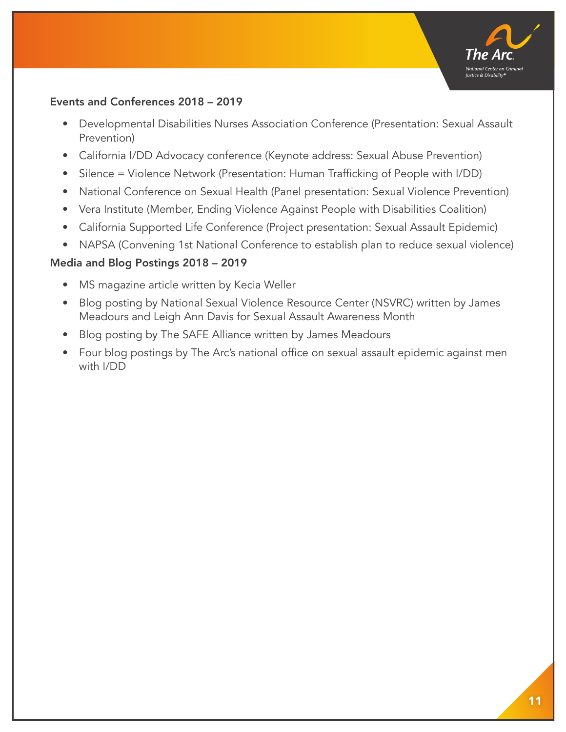

#### Events and Conferences 2018 – 2019

- Developmental Disabilities Nurses Association Conference (Presentation: Sexual Assault Prevention)
- California I/DD Advocacy conference (Keynote address: Sexual Abuse Prevention)
- Silence = Violence Network (Presentation: Human Trafficking of People with I/DD)
- National Conference on Sexual Health (Panel presentation: Sexual Violence Prevention)
- Vera Institute (Member, Ending Violence Against People with Disabilities Coalition)
- California Supported Life Conference (Project presentation: Sexual Assault Epidemic)
- NAPSA (Convening 1st National Conference to establish plan to reduce sexual violence)

#### Media and Blog Postings 2018 – 2019

- MS magazine article written by Kecia Weller
- Blog posting by National Sexual Violence Resource Center (NSVRC) written by James Meadours and Leigh Ann Davis for Sexual Assault Awareness Month
- Blog posting by The SAFE Alliance written by James Meadours
- Four blog postings by The Arc's national office on sexual assault epidemic against men with I/DD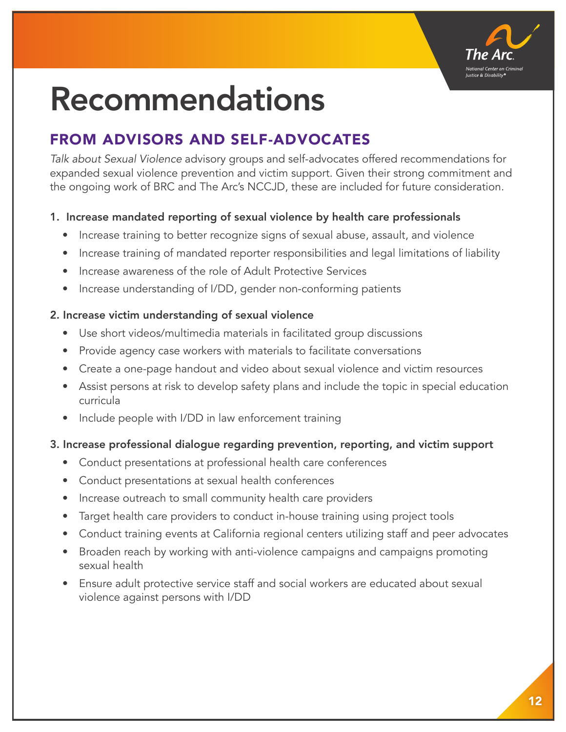

## Recommendations

### FROM ADVISORS AND SELF-ADVOCATES

*Talk about Sexual Violence* advisory groups and self-advocates offered recommendations for expanded sexual violence prevention and victim support. Given their strong commitment and the ongoing work of BRC and The Arc's NCCJD, these are included for future consideration.

#### 1. Increase mandated reporting of sexual violence by health care professionals

- Increase training to better recognize signs of sexual abuse, assault, and violence
- Increase training of mandated reporter responsibilities and legal limitations of liability
- Increase awareness of the role of Adult Protective Services
- Increase understanding of I/DD, gender non-conforming patients

#### 2. Increase victim understanding of sexual violence

- Use short videos/multimedia materials in facilitated group discussions
- Provide agency case workers with materials to facilitate conversations
- Create a one-page handout and video about sexual violence and victim resources
- Assist persons at risk to develop safety plans and include the topic in special education curricula
- Include people with I/DD in law enforcement training

#### 3. Increase professional dialogue regarding prevention, reporting, and victim support

- Conduct presentations at professional health care conferences
- Conduct presentations at sexual health conferences
- Increase outreach to small community health care providers
- Target health care providers to conduct in-house training using project tools
- Conduct training events at California regional centers utilizing staff and peer advocates
- Broaden reach by working with anti-violence campaigns and campaigns promoting sexual health
- Ensure adult protective service staff and social workers are educated about sexual violence against persons with I/DD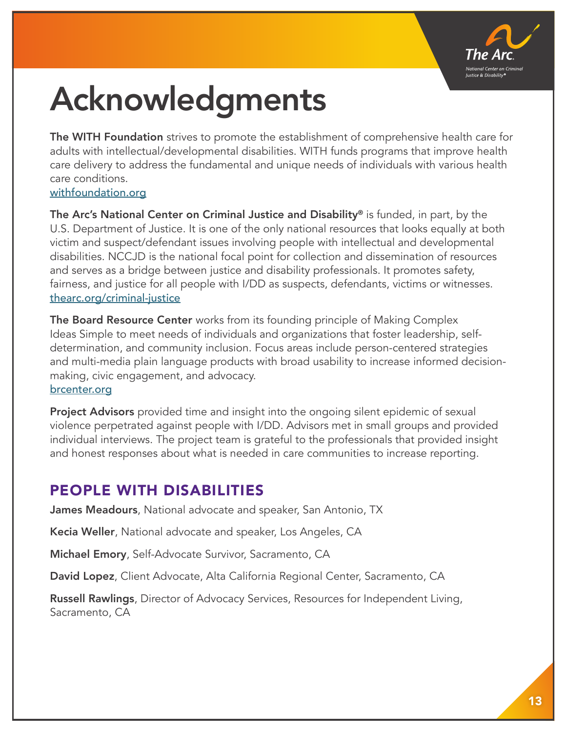

## Acknowledgments

The WITH Foundation strives to promote the establishment of comprehensive health care for adults with intellectual/developmental disabilities. WITH funds programs that improve health care delivery to address the fundamental and unique needs of individuals with various health care conditions.

#### withfoundation.org

The Arc's National Center on Criminal Justice and Disability® is funded, in part, by the U.S. Department of Justice. It is one of the only national resources that looks equally at both victim and suspect/defendant issues involving people with intellectual and developmental disabilities. NCCJD is the national focal point for collection and dissemination of resources and serves as a bridge between justice and disability professionals. It promotes safety, fairness, and justice for all people with I/DD as suspects, defendants, victims or witnesses. thearc.org/criminal-justice

The Board Resource Center works from its founding principle of Making Complex Ideas Simple to meet needs of individuals and organizations that foster leadership, selfdetermination, and community inclusion. Focus areas include person-centered strategies and multi-media plain language products with broad usability to increase informed decisionmaking, civic engagement, and advocacy. brcenter.org

Project Advisors provided time and insight into the ongoing silent epidemic of sexual violence perpetrated against people with I/DD. Advisors met in small groups and provided individual interviews. The project team is grateful to the professionals that provided insight and honest responses about what is needed in care communities to increase reporting.

### PEOPLE WITH DISABILITIES

James Meadours, National advocate and speaker, San Antonio, TX

Kecia Weller, National advocate and speaker, Los Angeles, CA

Michael Emory, Self-Advocate Survivor, Sacramento, CA

David Lopez, Client Advocate, Alta California Regional Center, Sacramento, CA

Russell Rawlings, Director of Advocacy Services, Resources for Independent Living, Sacramento, CA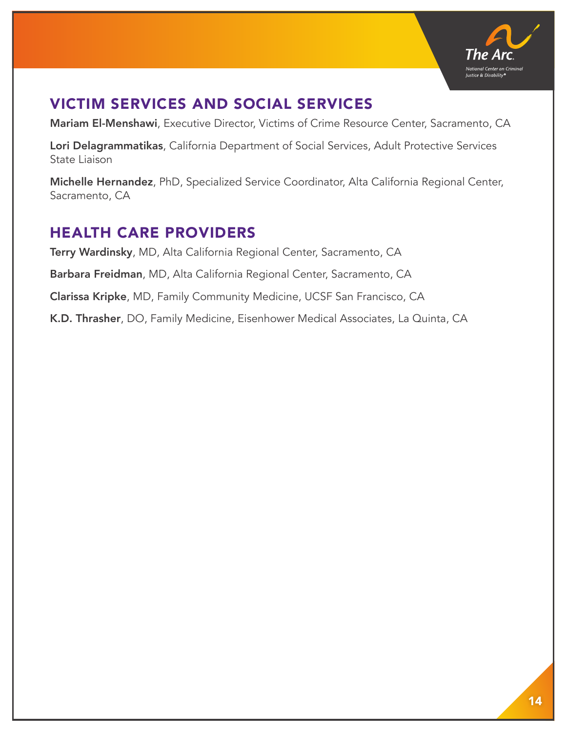

### VICTIM SERVICES AND SOCIAL SERVICES

Mariam El-Menshawi, Executive Director, Victims of Crime Resource Center, Sacramento, CA

Lori Delagrammatikas, California Department of Social Services, Adult Protective Services State Liaison

Michelle Hernandez, PhD, Specialized Service Coordinator, Alta California Regional Center, Sacramento, CA

### HEALTH CARE PROVIDERS

Terry Wardinsky, MD, Alta California Regional Center, Sacramento, CA Barbara Freidman, MD, Alta California Regional Center, Sacramento, CA Clarissa Kripke, MD, Family Community Medicine, UCSF San Francisco, CA K.D. Thrasher, DO, Family Medicine, Eisenhower Medical Associates, La Quinta, CA